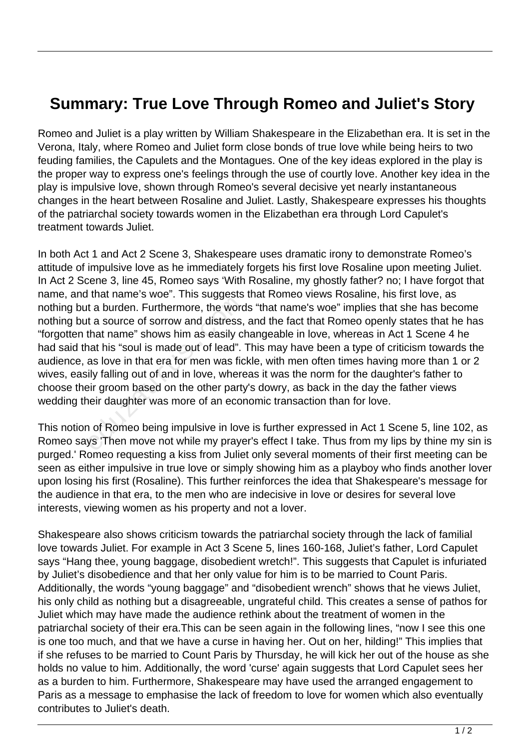## **Summary: True Love Through Romeo and Juliet's Story**

Romeo and Juliet is a play written by William Shakespeare in the Elizabethan era. It is set in the Verona, Italy, where Romeo and Juliet form close bonds of true love while being heirs to two feuding families, the Capulets and the Montagues. One of the key ideas explored in the play is the proper way to express one's feelings through the use of courtly love. Another key idea in the play is impulsive love, shown through Romeo's several decisive yet nearly instantaneous changes in the heart between Rosaline and Juliet. Lastly, Shakespeare expresses his thoughts of the patriarchal society towards women in the Elizabethan era through Lord Capulet's treatment towards Juliet.

In both Act 1 and Act 2 Scene 3, Shakespeare uses dramatic irony to demonstrate Romeo's attitude of impulsive love as he immediately forgets his first love Rosaline upon meeting Juliet. In Act 2 Scene 3, line 45, Romeo says 'With Rosaline, my ghostly father? no; I have forgot that name, and that name's woe". This suggests that Romeo views Rosaline, his first love, as nothing but a burden. Furthermore, the words "that name's woe" implies that she has become nothing but a source of sorrow and distress, and the fact that Romeo openly states that he has "forgotten that name" shows him as easily changeable in love, whereas in Act 1 Scene 4 he had said that his "soul is made out of lead". This may have been a type of criticism towards the audience, as love in that era for men was fickle, with men often times having more than 1 or 2 wives, easily falling out of and in love, whereas it was the norm for the daughter's father to choose their groom based on the other party's dowry, as back in the day the father views wedding their daughter was more of an economic transaction than for love. t a burden. Furthermore, the word<br>t a source of sorrow and distress,<br>that name" shows him as easily ch<br>at his "soul is made out of lead".<br>as love in that era for men was fic<br>ily falling out of and in love, where<br>eir groom

This notion of Romeo being impulsive in love is further expressed in Act 1 Scene 5, line 102, as Romeo says 'Then move not while my prayer's effect I take. Thus from my lips by thine my sin is purged.' Romeo requesting a kiss from Juliet only several moments of their first meeting can be seen as either impulsive in true love or simply showing him as a playboy who finds another lover upon losing his first (Rosaline). This further reinforces the idea that Shakespeare's message for the audience in that era, to the men who are indecisive in love or desires for several love interests, viewing women as his property and not a lover.

Shakespeare also shows criticism towards the patriarchal society through the lack of familial love towards Juliet. For example in Act 3 Scene 5, lines 160-168, Juliet's father, Lord Capulet says "Hang thee, young baggage, disobedient wretch!". This suggests that Capulet is infuriated by Juliet's disobedience and that her only value for him is to be married to Count Paris. Additionally, the words "young baggage" and "disobedient wrench" shows that he views Juliet, his only child as nothing but a disagreeable, ungrateful child. This creates a sense of pathos for Juliet which may have made the audience rethink about the treatment of women in the patriarchal society of their era.This can be seen again in the following lines, "now I see this one is one too much, and that we have a curse in having her. Out on her, hilding!" This implies that if she refuses to be married to Count Paris by Thursday, he will kick her out of the house as she holds no value to him. Additionally, the word 'curse' again suggests that Lord Capulet sees her as a burden to him. Furthermore, Shakespeare may have used the arranged engagement to Paris as a message to emphasise the lack of freedom to love for women which also eventually contributes to Juliet's death.